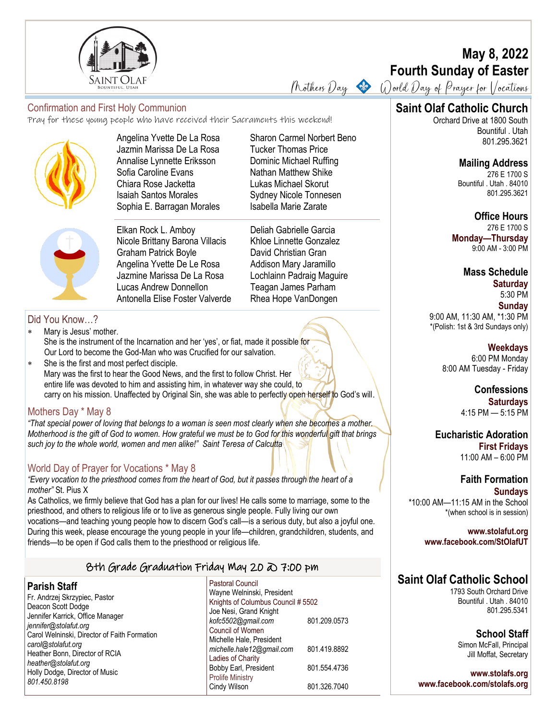

# **Saint Olaf Catholic Church** Confirmation and First Holy Communion

Pray for these young people who have received their Sacraments this weekend!



Angelina Yvette De La Rosa Jazmin Marissa De La Rosa Annalise Lynnette Eriksson Sofia Caroline Evans Chiara Rose Jacketta Isaiah Santos Morales Sophia E. Barragan Morales



Elkan Rock L. Amboy Nicole Brittany Barona Villacis Graham Patrick Boyle Angelina Yvette De Le Rosa Jazmine Marissa De La Rosa Lucas Andrew Donnellon Antonella Elise Foster Valverde Sharon Carmel Norbert Beno Tucker Thomas Price Dominic Michael Ruffing Nathan Matthew Shike Lukas Michael Skorut Sydney Nicole Tonnesen Isabella Marie Zarate

Deliah Gabrielle Garcia Khloe Linnette Gonzalez David Christian Gran Addison Mary Jaramillo Lochlainn Padraig Maguire Teagan James Parham Rhea Hope VanDongen

## Did You Know…?

- Mary is Jesus' mother. She is the instrument of the Incarnation and her 'yes', or fiat, made it possible for Our Lord to become the God-Man who was Crucified for our salvation.
- She is the first and most perfect disciple. Mary was the first to hear the Good News, and the first to follow Christ. Her entire life was devoted to him and assisting him, in whatever way she could, to carry on his mission. Unaffected by Original Sin, she was able to perfectly open herself to God's will.

#### Mothers Day \* May 8

*"That special power of loving that belongs to a woman is seen most clearly when she becomes a mother. Motherhood is the gift of God to women. How grateful we must be to God for this wonderful gift that brings such joy to the whole world, women and men alike!" Saint Teresa of Calcutta*

#### World Day of Prayer for Vocations \* May 8

*"Every vocation to the priesthood comes from the heart of God, but it passes through the heart of a mother"* St. Pius X

As Catholics, we firmly believe that God has a plan for our lives! He calls some to marriage, some to the priesthood, and others to religious life or to live as generous single people. Fully living our own vocations—and teaching young people how to discern God's call—is a serious duty, but also a joyful one. During this week, please encourage the young people in your life—children, grandchildren, students, and friends—to be open if God calls them to the priesthood or religious life.

#### 8th Grade Graduation Friday May 20 @ 7:00 pm

#### **Parish Staff**

Fr. Andrzej Skrzypiec, Pastor Deacon Scott Dodge Jennifer Karrick, Office Manager *jennifer@stolafut.org* Carol Welninski, Director of Faith Formation *carol@stolafut.org* Heather Bonn, Director of RCIA *heather@stolafut.org* Holly Dodge, Director of Music *801.450.8198*

Pastoral Council Wayne Welninski, President Knights of Columbus Council # 5502 Joe Nesi, Grand Knight *kofc5502@gmail.com* 801.209.0573 Council of Women Michelle Hale, President *michelle.hale12@gmail.com* 801.419.8892 Ladies of Charity Bobby Earl, President 801.554.4736 Prolife Ministry Cindy Wilson 801.326.7040

# **May 8, 2022 Fourth Sunday of Easter**

Mothers Day  $\bullet$  World Day of Prayer for Vocations

Orchard Drive at 1800 South Bountiful . Utah 801.295.3621

#### **Mailing Address**

276 E 1700 S Bountiful . Utah . 84010 801.295.3621

## **Office Hours**

276 E 1700 S **Monday—Thursday**  9:00 AM - 3:00 PM

## **Mass Schedule**

**Saturday** 5:30 PM **Sunday** 9:00 AM, 11:30 AM, \*1:30 PM \*(Polish: 1st & 3rd Sundays only)

> **Weekdays** 6:00 PM Monday 8:00 AM Tuesday - Friday

> > **Confessions Saturdays** 4:15 PM — 5:15 PM

**Eucharistic Adoration First Fridays** 11:00 AM – 6:00 PM

**Faith Formation Sundays** \*10:00 AM—11:15 AM in the School \*(when school is in session)

**www.stolafut.org www.facebook.com/StOlafUT**

# **Saint Olaf Catholic School**

1793 South Orchard Drive Bountiful . Utah . 84010 801.295.5341

> **School Staff** Simon McFall, Principal Jill Moffat, Secretary

**www.stolafs.org www.facebook.com/stolafs.org**